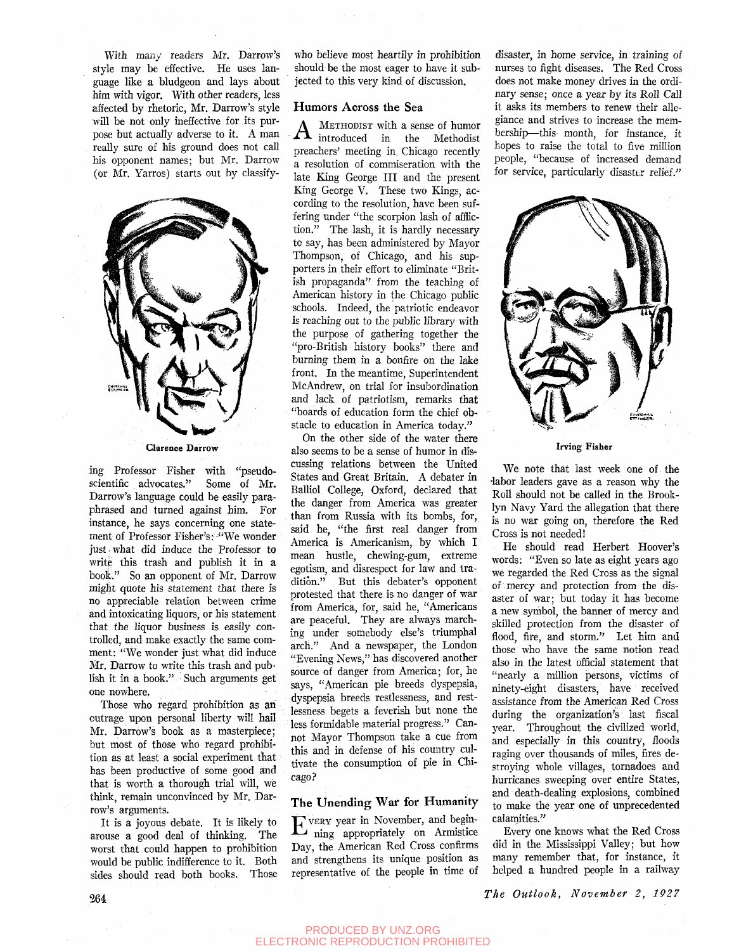With many readers Mr. Darrow's style may be effective. He uses language like **a** bludgeon and lays about him with vigor. With other readers, less affected by rhetoric, Mr. Darrow's style will be not only ineffective for its purpose but actually adverse to it. A man really sure of his ground does not call his opponent names; but Mr. Darrow (or Mr. Yarros) starts out by classify-



**Clarence Darrow** 

ing Professor Fisher with "pseudoscientific advocates." Some of Mr. Darrow's language could be easily paraphrased and turned against him. For instance, he says concerning one statement of Professor Fisher's: "We wonder just what did induce the Professor to write this trash and publish it in **a**  book." So an opponent of Mr. Darrow might quote his statement that there is no appreciable relation between crime and intoxicating liquors, or his statement that the liquor business is easily controlled, and make exactly the same comment: "We wonder just what did induce Mr. Darrow to write this trash and publish it in a book." Such arguments get one nowhere.

Those who regard prohibition as an outrage upon personal liberty will hail Mr. Darrow's book as a masterpiece; but most of those who regard prohibition as at least a social experiment that has been productive of some good and that is worth a thorough trial will, we think, remain unconvinced by Mr. Darrow's arguments.

It is a joyous debate. It is likely to arouse a good deal of thinking. The worst that could happen to prohibition would be public indifference to it. Both sides should read both books. Those who believe most heartily in prohibition should be the most eager to have it subjected to this very kind of discussion.

## **Humors Across the Sea**

A METHODIST with a sense of humor  $\quad$  in the Methodist preachers' meeting in, Chicago recently a resolution of commiseration with the late King George III and the present King George V. These two Kings, according to the resolution, have been suffering under "the scorpion lash of affliction." The lash, it is hardly necessary to say, has been administered by Mayor Thompson, of Chicago, and his supporters in their effort to eliminate "British propaganda" from the teaching of American history in the Chicago public schools. Indeed, the patriotic endeavor is reaching out to the public library with the purpose of gathering together the "pro-British history books" there and burning them in a bonfire on the lake front. In the meantime. Superintendent McAndrew, on trial for insubordination and lack of patriotism, remarks that "boards of education form the chief obstacle to education in America today."

On the other side of the water there also seems to be a sense of humor in discussing relations between the United States and Great Britain. A debater in Balliol College, Oxford, declared that the danger from America was greater than from Russia with its bombs, for, said he, "the first real danger from America is Americanism, by which I mean hustle, chewing-gum, extreme egotism, and disrespect for law and tradition." But this debater's opponent protested that there is no danger of war from America, for, said he, "Americans are peaceful. They are always marching under somebody else's triumphal arch." And a newspaper, the London "Evening News," has discovered another source of danger from America; for, he says, "American pie breeds dyspepsia, dyspepsia breeds restlessness, and restlessness begets a feverish but none the less formidable material progress." Cannot Mayor Thompson take a cue from this and in defense of his country cultivate the consumption of pie in Chicago?

## **The Unending War for Humanity**

EVERY year in November, and begin-<br>
Ining appropriately on Armistice ning appropriately on Armistice Day, the American Red Cross confirms and strengthens its unique position as representative of the people in time of

disaster, in home service, in training of nurses to fight diseases. The Red Cross does not make money drives in the ordinary sense; once a year by its Roll Call it asks its members to renew their allegiance and strives to increase the membership—this month, for instance, it hopes to raise the total to five million people, "because of increased demand for service, particularly disaster relief."



**Irving Fisher** 

We note that last week one of the 'labor leaders gave as a reason why the Roll should not be called in the Brooklyn Navy Yard the allegation that there is no war going on, therefore the Red Cross is not needed!

He should read Herbert Hoover's words: "Even so late as eight years ago we regarded the Red Gross as the signal of mercy and protection from the disaster of war; but today it has become a new symbol, the banner of mercy and skilled protection from the disaster of flood, fire, and storm." Let him and those who have the same notion read also in the latest official statement that "nearly a million persons, victims of ninety-eight disasters, have received assistance from the American Red Cross during the organization's last fiscal year. Throughout the civilized world, and especially in this country, floods raging over thousands of miles, fires destroying whole villages, tornadoes and hurricanes sweeping over entire States, and death-dealing explosions, combined to make the year one of unprecedented calamities."

Every one knows what the Red Cross did in the Mississippi Valley; but how many remember that, for instance, it helped a hundred people in a railway

264 *The Outlook, November 2, 1927*